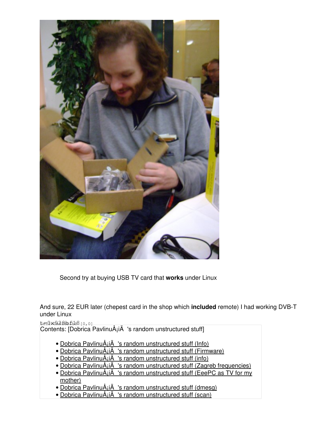

Second try at buying USB TV card that **works** under Linux

And sure, 22 EUR later (chepest card in the shop which **included** remote) I had working DVB-T under Linux

 $t=0$   $x=0.286$   $k=1.8$   $(0,0)$ 

Contents: [Dobrica PavlinuÅ<sub>j</sub>iÄ's random unstructured stuff]

- Dobrica PavlinuÅ<sub>i</sub>iÄ 's random unstructured stuff (Info)
- Dobrica PavlinuÅ<sub>i</sub>iÄ 's random unstructured stuff (Firmware)
- Dobrica PavlinuÅ¡iÄ 's random unstructured stuff (info)
- Dobrica PavlinuÅijÄ 's random unstructured stuff (Zagreb frequencies)
- Dobrica PavlinuA<sub>i</sub>iA 's random unstructured stuff (EeePC as TV for my [mother\)](https://saturn.ffzg.hr/rot13/index.cgi?dobrica_pavlinu%C5%A1i%C4%87_s_random_unstructured_stuff#eeepc_as_tv_for_my_mother)
- Dobrica PavlinuÅ¡iÄ 's random unstructured stuff (dmesg)
- Dobrica PavlinuÅ<sub>i</sub>jÄ 's random unstructured stuff (scan)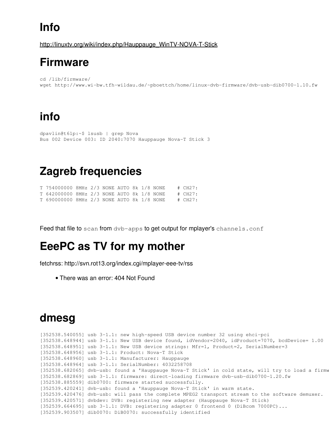# **Info**

[http://linuxtv.org/wiki/index.php/Hauppauge\\_WinTV-NOVA-T-Stick](http://linuxtv.org/wiki/index.php/Hauppauge_WinTV-NOVA-T-Stick)

### **Firmware**

```
cd /lib/firmware/
wget http://www.wi-bw.tfh-wildau.de/~pboettch/home/linux-dvb-firmware/dvb-usb-dib0700-1.10.fw
```
## **info**

```
dpavlin@t61p:~$ lsusb | grep Nova
Bus 002 Device 003: ID 2040:7070 Hauppauge Nova-T Stick 3
```
# **Zagreb frequencies**

| T 754000000 8MHz 2/3 NONE AUTO 8k 1/8 NONE |  |  |  |  | $\#$ CH27: |
|--------------------------------------------|--|--|--|--|------------|
| T 642000000 8MHz 2/3 NONE AUTO 8k 1/8 NONE |  |  |  |  | # CH27:    |
| T 690000000 8MHz 2/3 NONE AUTO 8k 1/8 NONE |  |  |  |  | $\#$ CH27: |

Feed that file to scan from dvb-apps to get output for mplayer's channels.conf

### **EeePC as TV for my mother**

fetchrss: http://svn.rot13.org/index.cgi/mplayer-eee-tv/rss

• There was an error: 404 Not Found

## **dmesg**

```
[352538.540055] usb 3-1.1: new high-speed USB device number 32 using ehci-pci
[352538.648944] usb 3-1.1: New USB device found, idVendor=2040, idProduct=7070, bcdDevice= 1.00
[352538.648951] usb 3-1.1: New USB device strings: Mfr=1, Product=2, SerialNumber=3
[352538.648956] usb 3-1.1: Product: Nova-T Stick
[352538.648960] usb 3-1.1: Manufacturer: Hauppauge
[352538.648964] usb 3-1.1: SerialNumber: 4032258708
[352538.682065] dvb-usb: found a 'Hauppauge Nova-T Stick' in cold state, will try to load a firmw
[352538.682869] usb 3-1.1: firmware: direct-loading firmware dvb-usb-dib0700-1.20.fw
[352538.885559] dib0700: firmware started successfully.
[352539.420241] dvb-usb: found a 'Hauppauge Nova-T Stick' in warm state.
[352539.420476] dvb-usb: will pass the complete MPEG2 transport stream to the software demuxer.
[352539.420571] dvbdev: DVB: registering new adapter (Hauppauge Nova-T Stick)
[352539.664695] usb 3-1.1: DVB: registering adapter 0 frontend 0 (DiBcom 7000PC)...
[352539.903507] dib0070: DiB0070: successfully identified
```